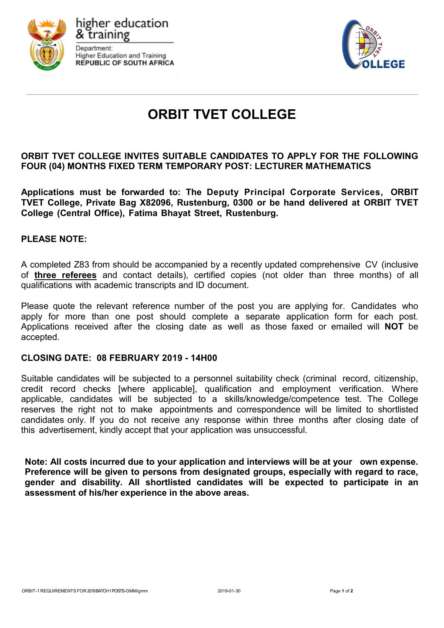

higher education k training Department: **Higher Education and Training REPUBLIC OF SOUTH AFRICA** 



# **ORBIT TVET COLLEGE**

## **ORBIT TVET COLLEGE INVITES SUITABLE CANDIDATES TO APPLY FOR THE FOLLOWING FOUR (04) MONTHS FIXED TERM TEMPORARY POST: LECTURER MATHEMATICS**

**Applications must be forwarded to: The Deputy Principal Corporate Services, ORBIT TVET College, Private Bag X82096, Rustenburg, 0300 or be hand delivered at ORBIT TVET College (Central Office), Fatima Bhayat Street, Rustenburg.**

## **PLEASE NOTE:**

A completed Z83 from should be accompanied by a recently updated comprehensive CV (inclusive of **three referees** and contact details), certified copies (not older than three months) of all qualifications with academic transcripts and ID document.

Please quote the relevant reference number of the post you are applying for. Candidates who apply for more than one post should complete a separate application form for each post. Applications received after the closing date as well as those faxed or emailed will **NOT** be accepted.

#### **CLOSING DATE: 08 FEBRUARY 2019 - 14H00**

Suitable candidates will be subjected to a personnel suitability check (criminal record, citizenship, credit record checks [where applicable], qualification and employment verification. Where applicable, candidates will be subjected to a skills/knowledge/competence test. The College reserves the right not to make appointments and correspondence will be limited to shortlisted candidates only. If you do not receive any response within three months after closing date of this advertisement, kindly accept that your application was unsuccessful.

**Note: All costs incurred due to your application and interviews will be at your own expense. Preference will be given to persons from designated groups, especially with regard to race, gender and disability. All shortlisted candidates will be expected to participate in an assessment of his/her experience in the above areas.**